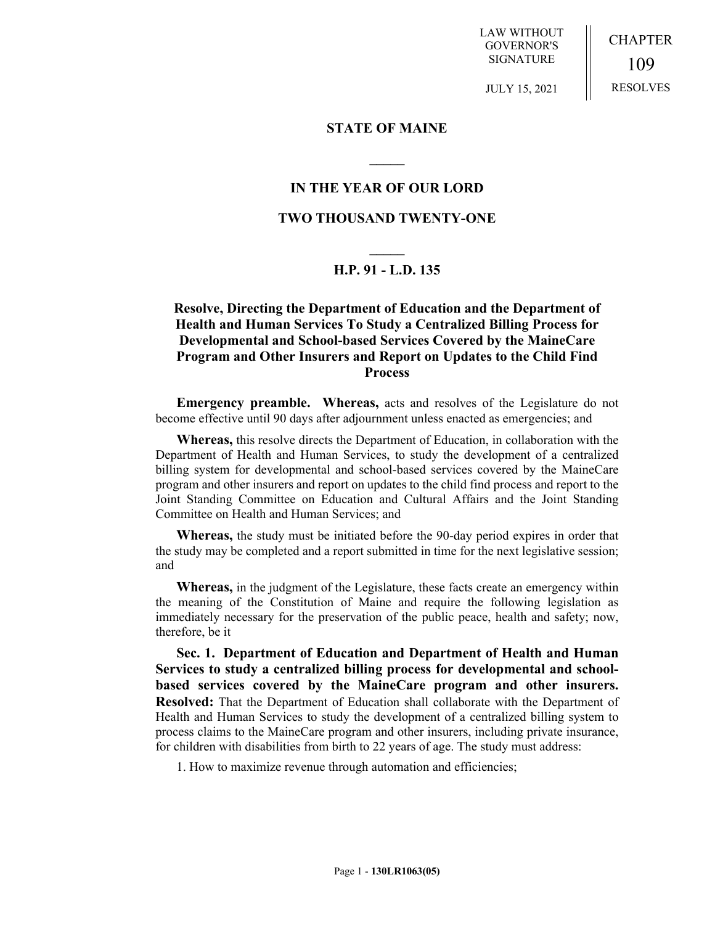LAW WITHOUT GOVERNOR'S SIGNATURE

CHAPTER 109 RESOLVES

JULY 15, 2021

#### **STATE OF MAINE**

### **IN THE YEAR OF OUR LORD**

**\_\_\_\_\_**

### **TWO THOUSAND TWENTY-ONE**

# **\_\_\_\_\_ H.P. 91 - L.D. 135**

## **Resolve, Directing the Department of Education and the Department of Health and Human Services To Study a Centralized Billing Process for Developmental and School-based Services Covered by the MaineCare Program and Other Insurers and Report on Updates to the Child Find Process**

**Emergency preamble. Whereas,** acts and resolves of the Legislature do not become effective until 90 days after adjournment unless enacted as emergencies; and

**Whereas,** this resolve directs the Department of Education, in collaboration with the Department of Health and Human Services, to study the development of a centralized billing system for developmental and school-based services covered by the MaineCare program and other insurers and report on updates to the child find process and report to the Joint Standing Committee on Education and Cultural Affairs and the Joint Standing Committee on Health and Human Services; and

**Whereas,** the study must be initiated before the 90-day period expires in order that the study may be completed and a report submitted in time for the next legislative session; and

**Whereas,** in the judgment of the Legislature, these facts create an emergency within the meaning of the Constitution of Maine and require the following legislation as immediately necessary for the preservation of the public peace, health and safety; now, therefore, be it

**Sec. 1. Department of Education and Department of Health and Human Services to study a centralized billing process for developmental and schoolbased services covered by the MaineCare program and other insurers. Resolved:** That the Department of Education shall collaborate with the Department of Health and Human Services to study the development of a centralized billing system to process claims to the MaineCare program and other insurers, including private insurance, for children with disabilities from birth to 22 years of age. The study must address:

1. How to maximize revenue through automation and efficiencies;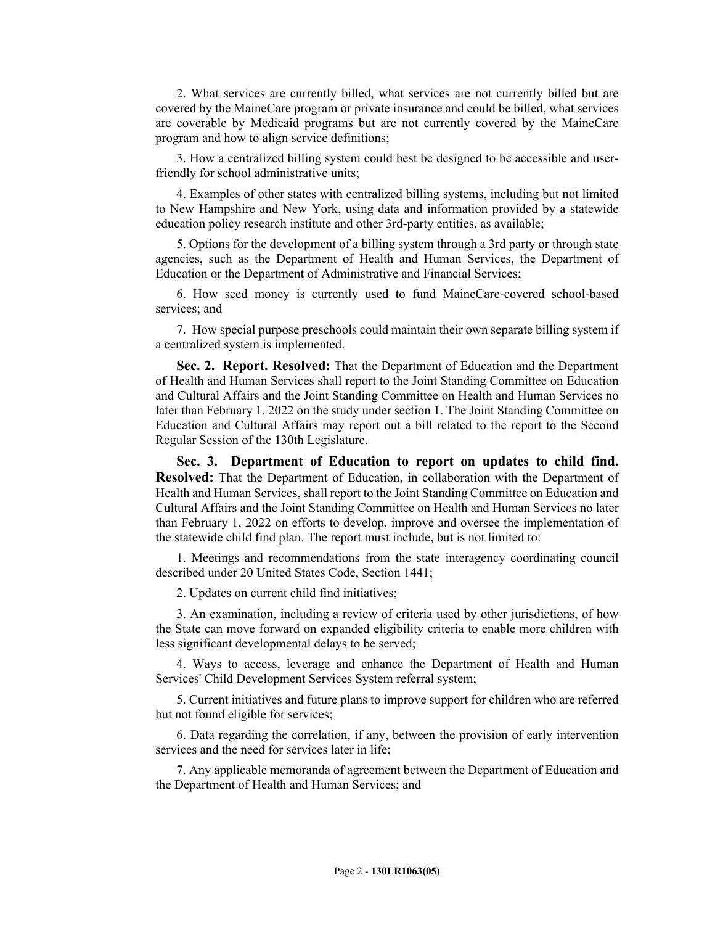2. What services are currently billed, what services are not currently billed but are covered by the MaineCare program or private insurance and could be billed, what services are coverable by Medicaid programs but are not currently covered by the MaineCare program and how to align service definitions;

3. How a centralized billing system could best be designed to be accessible and userfriendly for school administrative units;

4. Examples of other states with centralized billing systems, including but not limited to New Hampshire and New York, using data and information provided by a statewide education policy research institute and other 3rd-party entities, as available;

5. Options for the development of a billing system through a 3rd party or through state agencies, such as the Department of Health and Human Services, the Department of Education or the Department of Administrative and Financial Services;

6. How seed money is currently used to fund MaineCare-covered school-based services; and

7. How special purpose preschools could maintain their own separate billing system if a centralized system is implemented.

**Sec. 2. Report. Resolved:** That the Department of Education and the Department of Health and Human Services shall report to the Joint Standing Committee on Education and Cultural Affairs and the Joint Standing Committee on Health and Human Services no later than February 1, 2022 on the study under section 1. The Joint Standing Committee on Education and Cultural Affairs may report out a bill related to the report to the Second Regular Session of the 130th Legislature.

**Sec. 3. Department of Education to report on updates to child find. Resolved:** That the Department of Education, in collaboration with the Department of Health and Human Services, shall report to the Joint Standing Committee on Education and Cultural Affairs and the Joint Standing Committee on Health and Human Services no later than February 1, 2022 on efforts to develop, improve and oversee the implementation of the statewide child find plan. The report must include, but is not limited to:

1. Meetings and recommendations from the state interagency coordinating council described under 20 United States Code, Section 1441;

2. Updates on current child find initiatives;

3. An examination, including a review of criteria used by other jurisdictions, of how the State can move forward on expanded eligibility criteria to enable more children with less significant developmental delays to be served;

4. Ways to access, leverage and enhance the Department of Health and Human Services' Child Development Services System referral system;

5. Current initiatives and future plans to improve support for children who are referred but not found eligible for services;

6. Data regarding the correlation, if any, between the provision of early intervention services and the need for services later in life;

7. Any applicable memoranda of agreement between the Department of Education and the Department of Health and Human Services; and